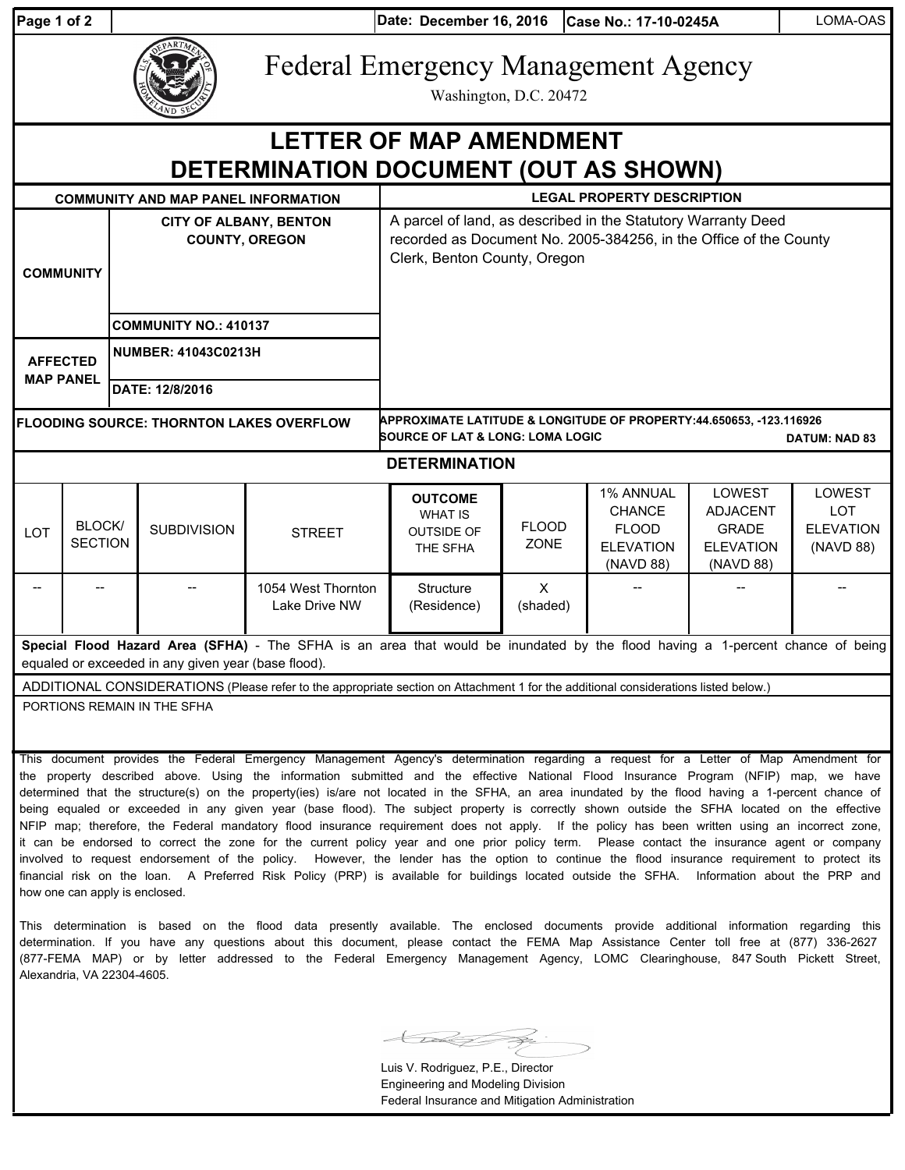| aqe 1 of " |  |  |
|------------|--|--|
|            |  |  |

**Date: Case No.: 17-10-0245A** LOMA-OAS **Page 1 of 2 December 16, 2016**

| EPARTMEN<br><b>ZAND SE</b><br>С |
|---------------------------------|
|---------------------------------|

Federal Emergency Management Agency

Washington, D.C. 20472

## **DETERMINATION DOCUMENT (OUT AS SHOWN) LETTER OF MAP AMENDMENT**

| <b>COMMUNITY</b>                                                                                                                                                                      |                                 |                                               | <b>COMMUNITY AND MAP PANEL INFORMATION</b><br><b>CITY OF ALBANY, BENTON</b><br><b>COUNTY, OREGON</b><br><b>COMMUNITY NO.: 410137</b> |                                     | <b>LEGAL PROPERTY DESCRIPTION</b><br>A parcel of land, as described in the Statutory Warranty Deed<br>recorded as Document No. 2005-384256, in the Office of the County<br>Clerk, Benton County, Oregon |                             |                                                                             |                                                                                   |                                                       |  |
|---------------------------------------------------------------------------------------------------------------------------------------------------------------------------------------|---------------------------------|-----------------------------------------------|--------------------------------------------------------------------------------------------------------------------------------------|-------------------------------------|---------------------------------------------------------------------------------------------------------------------------------------------------------------------------------------------------------|-----------------------------|-----------------------------------------------------------------------------|-----------------------------------------------------------------------------------|-------------------------------------------------------|--|
| <b>AFFECTED</b><br><b>MAP PANEL</b>                                                                                                                                                   |                                 | <b>NUMBER: 41043C0213H</b><br>DATE: 12/8/2016 |                                                                                                                                      |                                     |                                                                                                                                                                                                         |                             |                                                                             |                                                                                   |                                                       |  |
| APPROXIMATE LATITUDE & LONGITUDE OF PROPERTY:44.650653, -123.116926<br><b>FLOODING SOURCE: THORNTON LAKES OVERFLOW</b><br><b>SOURCE OF LAT &amp; LONG: LOMA LOGIC</b>                 |                                 |                                               |                                                                                                                                      |                                     |                                                                                                                                                                                                         |                             |                                                                             | <b>DATUM: NAD 83</b>                                                              |                                                       |  |
| <b>DETERMINATION</b>                                                                                                                                                                  |                                 |                                               |                                                                                                                                      |                                     |                                                                                                                                                                                                         |                             |                                                                             |                                                                                   |                                                       |  |
| <b>LOT</b>                                                                                                                                                                            | <b>BLOCK/</b><br><b>SECTION</b> |                                               | <b>SUBDIVISION</b>                                                                                                                   | <b>STREET</b>                       | <b>OUTCOME</b><br><b>WHAT IS</b><br><b>OUTSIDE OF</b><br>THE SFHA                                                                                                                                       | <b>FLOOD</b><br><b>ZONE</b> | 1% ANNUAL<br><b>CHANCE</b><br><b>FLOOD</b><br><b>ELEVATION</b><br>(NAVD 88) | <b>LOWEST</b><br><b>ADJACENT</b><br><b>GRADE</b><br><b>ELEVATION</b><br>(NAVD 88) | LOWEST<br><b>LOT</b><br><b>ELEVATION</b><br>(NAVD 88) |  |
|                                                                                                                                                                                       |                                 |                                               |                                                                                                                                      | 1054 West Thornton<br>Lake Drive NW | Structure<br>(Residence)                                                                                                                                                                                | $\mathsf{x}$<br>(shaded)    |                                                                             |                                                                                   |                                                       |  |
| Special Flood Hazard Area (SFHA) - The SFHA is an area that would be inundated by the flood having a 1-percent chance of being<br>equaled or exceeded in any given year (base flood). |                                 |                                               |                                                                                                                                      |                                     |                                                                                                                                                                                                         |                             |                                                                             |                                                                                   |                                                       |  |
| ADDITIONAL CONSIDERATIONS (Please refer to the appropriate section on Attachment 1 for the additional considerations listed below.)                                                   |                                 |                                               |                                                                                                                                      |                                     |                                                                                                                                                                                                         |                             |                                                                             |                                                                                   |                                                       |  |
|                                                                                                                                                                                       | PORTIONS REMAIN IN THE SFHA     |                                               |                                                                                                                                      |                                     |                                                                                                                                                                                                         |                             |                                                                             |                                                                                   |                                                       |  |

This document provides the Federal Emergency Management Agency's determination regarding a request for a Letter of Map Amendment for the property described above. Using the information submitted and the effective National Flood Insurance Program (NFIP) map, we have determined that the structure(s) on the property(ies) is/are not located in the SFHA, an area inundated by the flood having a 1-percent chance of being equaled or exceeded in any given year (base flood). The subject property is correctly shown outside the SFHA located on the effective NFIP map; therefore, the Federal mandatory flood insurance requirement does not apply. If the policy has been written using an incorrect zone, it can be endorsed to correct the zone for the current policy year and one prior policy term. Please contact the insurance agent or company involved to request endorsement of the policy. However, the lender has the option to continue the flood insurance requirement to protect its financial risk on the loan. A Preferred Risk Policy (PRP) is available for buildings located outside the SFHA. Information about the PRP and how one can apply is enclosed.

This determination is based on the flood data presently available. The enclosed documents provide additional information regarding this determination. If you have any questions about this document, please contact the FEMA Map Assistance Center toll free at (877) 336-2627 (877-FEMA MAP) or by letter addressed to the Federal Emergency Management Agency, LOMC Clearinghouse, 847 South Pickett Street, Alexandria, VA 22304-4605.

Luis V. Rodriguez, P.E., Director Engineering and Modeling Division Federal Insurance and Mitigation Administration